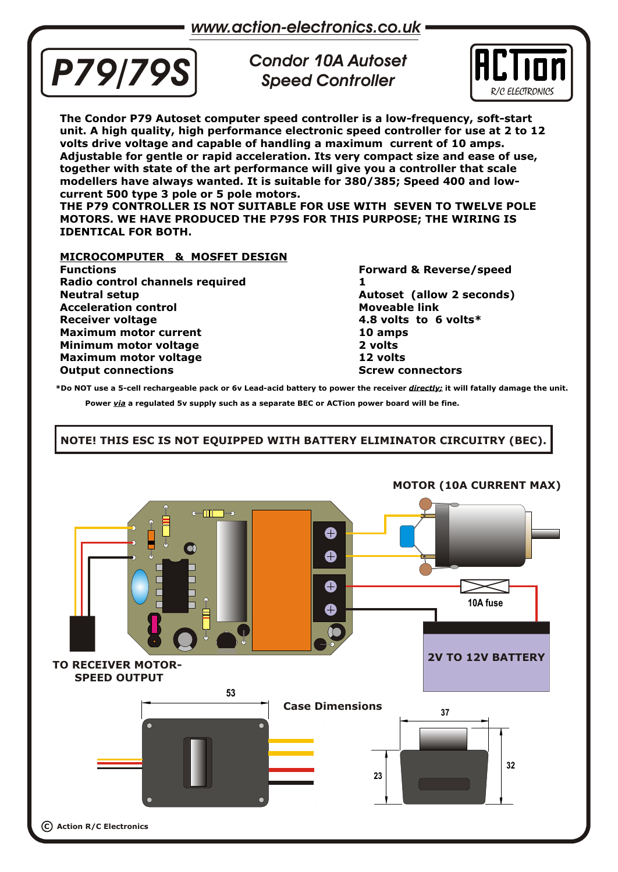

*Condor 10A Autoset Speed Controller*



**The Condor P79 Autoset computer speed controller is a low-frequency, soft-start unit. A high quality, high performance electronic speed controller for use at 2 to 12 volts drive voltage and capable of handling a maximum current of 10 amps. Adjustable for gentle or rapid acceleration. Its very compact size and ease of use, together with state of the art performance will give you a controller that scale modellers have always wanted. It is suitable for 380/385; Speed 400 and lowcurrent 500 type 3 pole or 5 pole motors.**

**THE P79 CONTROLLER IS NOT SUITABLE FOR USE WITH SEVEN TO TWELVE POLE MOTORS. WE HAVE PRODUCED THE P79S FOR THIS PURPOSE; THE WIRING IS IDENTICAL FOR BOTH.**

#### **MICROCOMPUTER & MOSFET DESIGN**

**Functions Forward & Reverse/speed Radio control channels required 1 Neutral setup**<br> **Autoset (allow 2 seconds)**<br> **Acceleration control Acceleration control Receiver voltage 4.8 volts to 6 volts\* Maximum motor current 10 amps Minimum motor voltage 2 volts Maximum motor voltage 12 volts Output connections Screw connectors Screw connectors** 

**\*Do NOT use a 5-cell rechargeable pack or 6v Lead-acid battery to power the receiver** *directly;* **it will fatally damage the unit.** 

**Power** *via* **a regulated 5v supply such as a separate BEC or ACTion power board will be fine.**

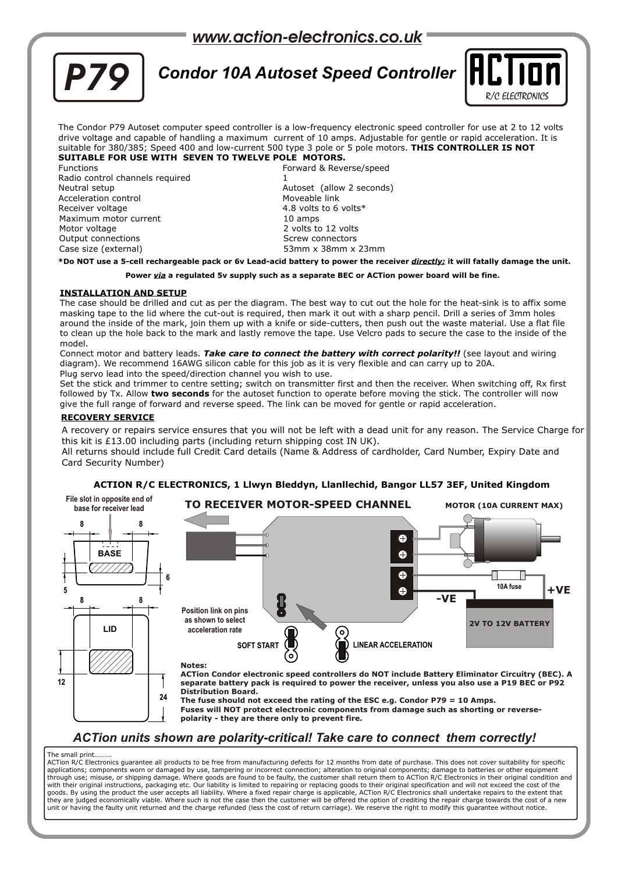## *www.action-electronics.co.uk*



## *Condor 10A Autoset Speed Controller*  $\Vert \mathbf{H} \Vert$



The Condor P79 Autoset computer speed controller is a low-frequency electronic speed controller for use at 2 to 12 volts drive voltage and capable of handling a maximum current of 10 amps. Adjustable for gentle or rapid acceleration. It is suitable for 380/385; Speed 400 and low-current 500 type 3 pole or 5 pole motors. **THIS CONTROLLER IS NOT SUITABLE FOR USE WITH SEVEN TO TWELVE POLE MOTORS.**

Functions Forward & Reverse/speed Radio control channels required Neutral setup Autoset (allow 2 seconds) Acceleration control Receiver voltage 1.1 and 1.8 volts to 6 volts \* 1.8 volts to 6 volts \* 1.8 volts \* 1.0 amps Maximum motor current Motor voltage 2 volts to 12 volts Output connections and the Screw connectors of the Screw connectors Case size (external) 53mm x 38mm x 23mm

**\*Do NOT use a 5-cell rechargeable pack or 6v Lead-acid battery to power the receiver** *directly;* **it will fatally damage the unit.** 

**Power** *via* **a regulated 5v supply such as a separate BEC or ACTion power board will be fine.**

#### **INSTALLATION AND SETUP**

The case should be drilled and cut as per the diagram. The best way to cut out the hole for the heat-sink is to affix some masking tape to the lid where the cut-out is required, then mark it out with a sharp pencil. Drill a series of 3mm holes around the inside of the mark, join them up with a knife or side-cutters, then push out the waste material. Use a flat file to clean up the hole back to the mark and lastly remove the tape. Use Velcro pads to secure the case to the inside of the model.

Connect motor and battery leads. *Take care to connect the battery with correct polarity!!* (see layout and wiring diagram). We recommend 16AWG silicon cable for this job as it is very flexible and can carry up to 20A. Plug servo lead into the speed/direction channel you wish to use.

Set the stick and trimmer to centre setting; switch on transmitter first and then the receiver. When switching off, Rx first followed by Tx. Allow **two seconds** for the autoset function to operate before moving the stick. The controller will now give the full range of forward and reverse speed. The link can be moved for gentle or rapid acceleration.

#### **RECOVERY SERVICE**

A recovery or repairs service ensures that you will not be left with a dead unit for any reason. The Service Charge for this kit is £13.00 including parts (including return shipping cost IN UK).

All returns should include full Credit Card details (Name & Address of cardholder, Card Number, Expiry Date and Card Security Number)

#### **File slot in opposite end of TO RECEIVER MOTOR-SPEED CHANNEL MOTOR (10A CURRENT MAX) base for receiver lead 8 8**  $\bullet$ **BASE**  $\bullet$ \///////  $\bullet$ **6 10A fuse +VE**  $\bullet$ **5 -VE 8 8 Position link on pins as shown to select 2V TO 12V BATTERY LID acceleration rate** ତି **SOFT START LINEAR ACCELERATION Notes: ACTion Condor electronic speed controllers do NOT include Battery Eliminator Circuitry (BEC). A 12 separate battery pack is required to power the receiver, unless you also use a P19 BEC or P92 Distribution Board. 24 The fuse should not exceed the rating of the ESC e.g. Condor P79 = 10 Amps. Fuses will NOT protect electronic components from damage such as shorting or reversepolarity - they are there only to prevent fire.**

#### **ACTION R/C ELECTRONICS, 1 Llwyn Bleddyn, Llanllechid, Bangor LL57 3EF, United Kingdom**

*ACTion units shown are polarity-critical! Take care to connect them correctly!*

#### The small print……….

ACTion R/C Electronics guarantee all products to be free from manufacturing defects for 12 months from date of purchase. This does not cover suitability for specific applications; components worn or damaged by use, tampering or incorrect connection; alteration to original components; damage to batteries or other equipment through use; misuse, or shipping damage. Where goods are found to be faulty, the customer shall return them to ACTion R/C Electronics in their original condition and<br>with their original instructions, packaging etc. Our lia goods. By using the product the user accepts all liability. Where a fixed repair charge is applicable, ACTion R/C Electronics shall undertake repairs to the extent that they are judged economically viable. Where such is not the case then the customer will be offered the option of crediting the repair charge towards the cost of a new unit or having the faulty unit returned and the charge refunded (less the cost of return carriage). We reserve the right to modify this guarantee without notice.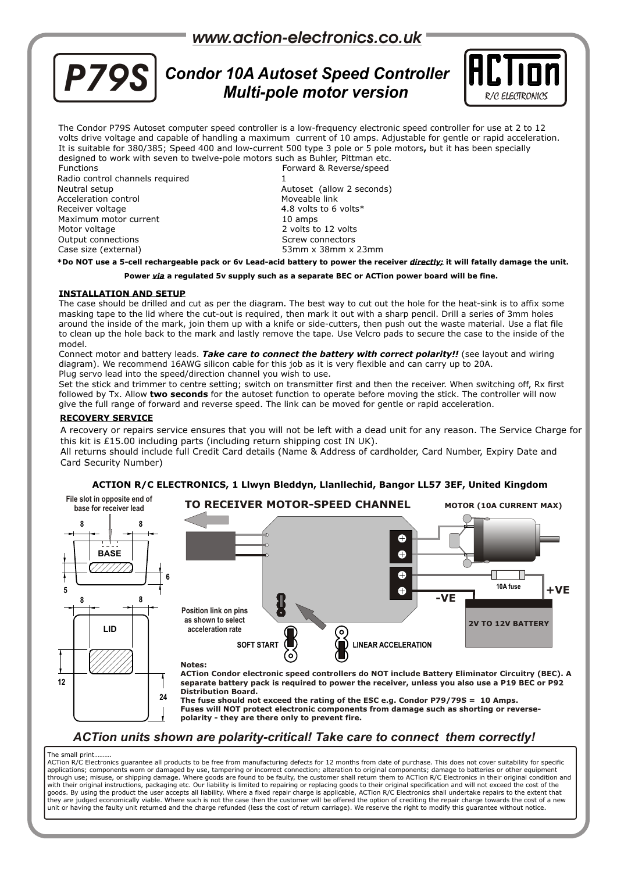## *www.action-electronics.co.uk*



# **P79S** Condor 10A Autoset Speed Controller **FLIT**



The Condor P79S Autoset computer speed controller is a low-frequency electronic speed controller for use at 2 to 12 volts drive voltage and capable of handling a maximum current of 10 amps. Adjustable for gentle or rapid acceleration. It is suitable for 380/385; Speed 400 and low-current 500 type 3 pole or 5 pole motors**,** but it has been specially designed to work with seven to twelve-pole motors such as Buhler, Pittman etc.

Radio control channels required Neutral setup Autoset (allow 2 seconds) Acceleration control example of the Moveable link<br>Receiver voltage examples the Moveable link<br>and Moveable 1.8 volts to 6 Maximum motor current 10 amps Motor voltage 2 volts to 12 volts Output connections and the Screw connectors of Screw connectors Case size (external) 53mm x 38mm x 23mm

Functions Forward & Reverse/speed 4.8 volts to 6 volts $*$ 

**\*Do NOT use a 5-cell rechargeable pack or 6v Lead-acid battery to power the receiver** *directly;* **it will fatally damage the unit.** 

#### **Power** *via* **a regulated 5v supply such as a separate BEC or ACTion power board will be fine.**

#### **INSTALLATION AND SETUP**

The case should be drilled and cut as per the diagram. The best way to cut out the hole for the heat-sink is to affix some masking tape to the lid where the cut-out is required, then mark it out with a sharp pencil. Drill a series of 3mm holes around the inside of the mark, join them up with a knife or side-cutters, then push out the waste material. Use a flat file to clean up the hole back to the mark and lastly remove the tape. Use Velcro pads to secure the case to the inside of the model.

Connect motor and battery leads. *Take care to connect the battery with correct polarity!!* (see layout and wiring diagram). We recommend 16AWG silicon cable for this job as it is very flexible and can carry up to 20A. Plug servo lead into the speed/direction channel you wish to use.

Set the stick and trimmer to centre setting; switch on transmitter first and then the receiver. When switching off, Rx first followed by Tx. Allow **two seconds** for the autoset function to operate before moving the stick. The controller will now give the full range of forward and reverse speed. The link can be moved for gentle or rapid acceleration.

#### **RECOVERY SERVICE**

A recovery or repairs service ensures that you will not be left with a dead unit for any reason. The Service Charge for this kit is £15.00 including parts (including return shipping cost IN UK).

All returns should include full Credit Card details (Name & Address of cardholder, Card Number, Expiry Date and Card Security Number)

#### **File slot in opposite end of TO RECEIVER MOTOR-SPEED CHANNEL MOTOR (10A CURRENT MAX) base for receiver lead 8 8** Ô **BASE**  $\bullet$  $\bullet$ **6 10A fuse**  $\bullet$ **+VE 5 -VE 8 8 Position link on pins as shown to select 2V TO 12V BATTERY LID acceleration rate** 6 **SOFT START LINEAR ACCELERATION Notes: ACTion Condor electronic speed controllers do NOT include Battery Eliminator Circuitry (BEC). A 12 separate battery pack is required to power the receiver, unless you also use a P19 BEC or P92 Distribution Board. 24 The fuse should not exceed the rating of the ESC e.g. Condor P79/79S = 10 Amps. Fuses will NOT protect electronic components from damage such as shorting or reversepolarity - they are there only to prevent fire.**

#### **ACTION R/C ELECTRONICS, 1 Llwyn Bleddyn, Llanllechid, Bangor LL57 3EF, United Kingdom**

*ACTion units shown are polarity-critical! Take care to connect them correctly!*

#### The small print

ACTion R/C Electronics guarantee all products to be free from manufacturing defects for 12 months from date of purchase. This does not cover suitability for specific<br>applications; components worn or damaged by use, tamperi through use; misuse, or shipping damage. Where goods are found to be faulty, the customer shall return them to ACTion R/C Electronics in their original condition and with their original instructions, packaging etc. Our liability is limited to repairing or replacing goods to their original specification and will not exceed the cost of the<br>goods. By using the product the user accepts all unit or having the faulty unit returned and the charge refunded (less the cost of return carriage). We reserve the right to modify this guarantee without notice.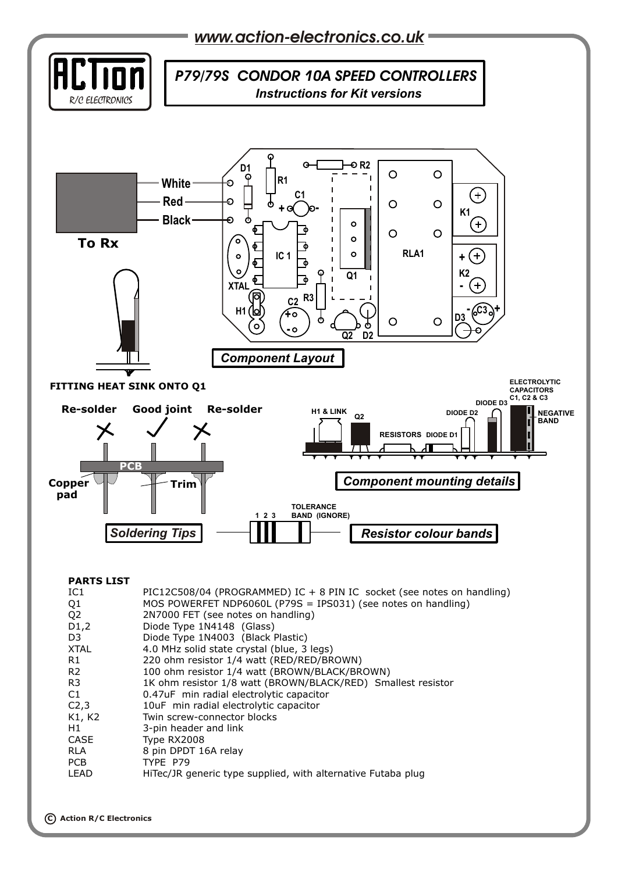

|  |  |  | <b>PARTS LIST</b> |  |
|--|--|--|-------------------|--|
|  |  |  |                   |  |

| . ART - 619       |                                                                        |
|-------------------|------------------------------------------------------------------------|
| IC1               | PIC12C508/04 (PROGRAMMED) IC + 8 PIN IC socket (see notes on handling) |
| Q <sub>1</sub>    | MOS POWERFET NDP6060L (P79S = IPS031) (see notes on handling)          |
| Q <sub>2</sub>    | 2N7000 FET (see notes on handling)                                     |
| D1,2              | Diode Type 1N4148 (Glass)                                              |
| D <sub>3</sub>    | Diode Type 1N4003 (Black Plastic)                                      |
| XTAL              | 4.0 MHz solid state crystal (blue, 3 legs)                             |
| R1                | 220 ohm resistor 1/4 watt (RED/RED/BROWN)                              |
| R <sub>2</sub>    | 100 ohm resistor 1/4 watt (BROWN/BLACK/BROWN)                          |
| R3                | 1K ohm resistor 1/8 watt (BROWN/BLACK/RED) Smallest resistor           |
| C <sub>1</sub>    | 0.47uF min radial electrolytic capacitor                               |
| C <sub>2</sub> ,3 | 10uF min radial electrolytic capacitor                                 |
| K1, K2            | Twin screw-connector blocks                                            |
| H1                | 3-pin header and link                                                  |
| CASE              | Type RX2008                                                            |
| RLA               | 8 pin DPDT 16A relay                                                   |
| PCB               | TYPE P79                                                               |
| LEAD              | HiTec/JR generic type supplied, with alternative Futaba plug           |
|                   |                                                                        |
|                   |                                                                        |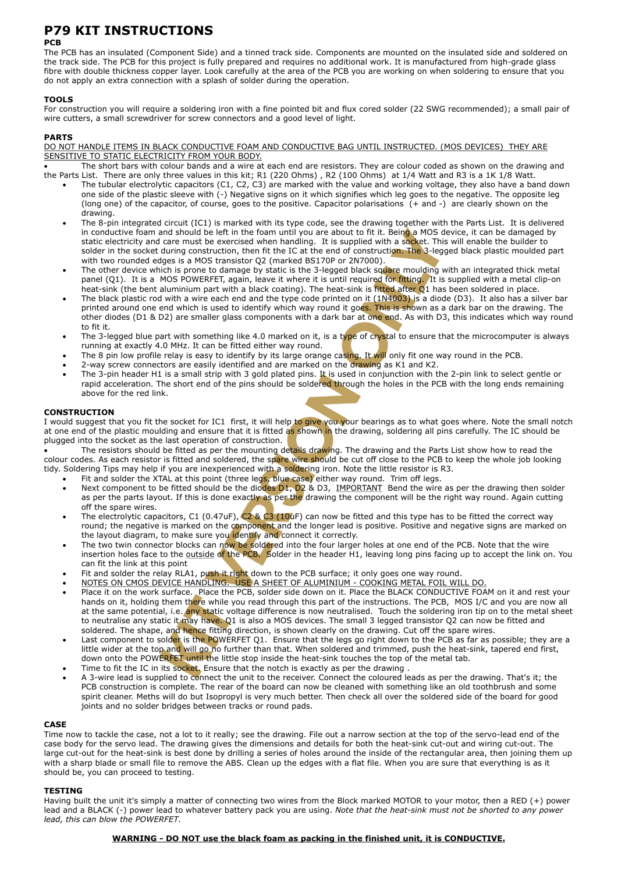## **P79 KIT INSTRUCTIONS**

#### **PCB**

The PCB has an insulated (Component Side) and a tinned track side. Components are mounted on the insulated side and soldered on the track side. The PCB for this project is fully prepared and requires no additional work. It is manufactured from high-grade glass fibre with double thickness copper layer. Look carefully at the area of the PCB you are working on when soldering to ensure that you do not apply an extra connection with a splash of solder during the operation.

#### **TOOLS**

For construction you will require a soldering iron with a fine pointed bit and flux cored solder (22 SWG recommended); a small pair of wire cutters, a small screwdriver for screw connectors and a good level of light.

#### **PARTS**

DO NOT HANDLE ITEMS IN BLACK CONDUCTIVE FOAM AND CONDUCTIVE BAG UNTIL INSTRUCTED. (MOS DEVICES) THEY ARE SENSITIVE TO STATIC ELECTRICITY FROM YOUR BODY.

 The short bars with colour bands and a wire at each end are resistors. They are colour coded as shown on the drawing and the Parts List. There are only three values in this kit; R1 (220 Ohms) , R2 (100 Ohms) at 1/4 Watt and R3 is a 1K 1/8 Watt.

- The tubular electrolytic capacitors (C1, C2, C3) are marked with the value and working voltage, they also have a band down one side of the plastic sleeve with (-) Negative signs on it which signifies which leg goes to the negative. The opposite leg (long one) of the capacitor, of course, goes to the positive. Capacitor polarisations (+ and -) are clearly shown on the drawing.
- Being a MOS device<br> **Y** a socket. This wis<br> **Y** a Selegged<br> **Y** are moulding with The 8-pin integrated circuit (IC1) is marked with its type code, see the drawing together with the Parts List. It is delivered in conductive foam and should be left in the foam until you are about to fit it. Being a MOS device, it can be damaged by static electricity and care must be exercised when handling. It is supplied with a socket. This will enable the builder to solder in the socket during construction, then fit the IC at the end of construction. The 3-legged black plastic moulded part with two rounded edges is a MOS transistor Q2 (marked BS170P or 2N7000).
- The other device which is prone to damage by static is the 3-legged black square moulding with an integrated thick metal panel (Q1). It is a MOS POWERFET, again, leave it where it is until required for fitting. It is supplied with a metal clip-on heat-sink (the bent aluminium part with a black coating). The heat-sink is fitted after Q1 has been soldered in place.
- **Processor Control Control Control Control Control Control Control Control Control Control Control Control Control Control Control Control Control Control Control Control Control Control Control Control Control Control Con** The black plastic rod with a wire each end and the type code printed on it  $(1N4003)$  is a diode (D3). It also has a silver bar printed around one end which is used to identify which way round it goes. This is shown as a dark bar on the drawing. The other diodes (D1 & D2) are smaller glass components with a dark bar at one end. As with D3, this indicates which way round to fit it.
- The 3-legged blue part with something like 4.0 marked on it, is a type of crystal to ensure that the microcomputer is always running at exactly 4.0 MHz. It can be fitted either way round.
- The 8 pin low profile relay is easy to identify by its large orange casing. It will only fit one way round in the PCB.
- 2-way screw connectors are easily identified and are marked on the drawing as K1 and K2.
- The s-pin header HTT is a shian strip with 3 gold plated pins. It is used in conjunction with the 2-pin link to select gentle of<br>rapid acceleration. The short end of the pins should be soldered through the holes in the PCB The 3-pin header H1 is a small strip with 3 gold plated pins. It is used in conjunction with the 2-pin link to select gentle or above for the red link.

#### **CONSTRUCTION**

I would suggest that you fit the socket for IC1 first, it will help to give you your bearings as to what goes where. Note the small notch at one end of the plastic moulding and ensure that it is fitted as shown in the drawing, soldering all pins carefully. The IC should be plugged into the socket as the last operation of construction.

pare wire s<br>**I** a solderin<br>blue case) The resistors should be fitted as per the mounting details drawing. The drawing and the Parts List show how to read the colour codes. As each resistor is fitted and soldered, the spare wire should be cut off close to the PCB to keep the whole job looking tidy. Soldering Tips may help if you are inexperienced with a soldering iron. Note the little resistor is R3.

- Fit and solder the XTAL at this point (three legs, blue case) either way round. Trim off legs.
- It will help to give you your b<br>is fitted as shown in the draw<br>uction.<br>unting details drawing. The c<br>he spare wire should be cut<br>with a soldering iron. Note the<br>egs, blue case) either way ro<br>iodes D1, D2 & D3, IMPORT<br>y as • Next component to be fitted should be the diodes D1, D2 & D3, IMPORTANT Bend the wire as per the drawing then solder as per the parts layout. If this is done exactly as per the drawing the component will be the right way round. Again cutting off the spare wires.
- The electrolytic capacitors, C1 (0.47uF),  $C2 \& C3$  (10uF) can now be fitted and this type has to be fitted the correct way round; the negative is marked on the component and the longer lead is positive. Positive and negative signs are marked on the layout diagram, to make sure you identify and connect it correctly.
- **Solution 1999 and Solution CONTING ACTS** and the proponent will be the right way round. Again cutting off the spare wires.<br>
The electrolytic capacitors, C1 (0.47uF), C2 & C3 (10uF) can now be fitted and this type has to The two twin connector blocks can now be soldered into the four larger holes at one end of the PCB. Note that the wire insertion holes face to the outside of the PCB. Solder in the header H1, leaving long pins facing up to accept the link on. You can fit the link at this point
- Fit and solder the relay RLA1, push it right down to the PCB surface; it only goes one way round.
- NOTES ON CMOS DEVICE HANDLING. USE A SHEET OF ALUMINIUM COOKING METAL FOIL WILL DO.
- **In there** while you<br> **I** there while you<br> **I** the power of the power of the power<br> **I** is the POWERFE hands on it, holding them there while you read through this part of the instructions. The PCB, MOS I/C and you are now all at the same potential, i.e. any static voltage difference is now neutralised. Touch the soldering iron tip on to the metal sheet to neutralise any static it may have. Q1 is also a MOS devices. The small 3 legged transistor Q2 can now be fitted and soldered. The shape, and hence fitting direction, is shown clearly on the drawing. Cut off the spare wires.
- France is the Pisolder is the Pisolder is the Pisola<br>**ERFET until the KRFET until the Socket**. En<br>plied to conne • Last component to solder is the POWERFET Q1. Ensure that the legs go right down to the PCB as far as possible; they are a little wider at the top and will go no further than that. When soldered and trimmed, push the heat-sink, tapered end first, down onto the POWERFET until the little stop inside the heat-sink touches the top of the metal tab.
- Time to fit the IC in its socket. Ensure that the notch is exactly as per the drawing.
- PCB construction is complete. The rear of the board can now be cleaned with something like an old toothbrush and some A 3-wire lead is supplied to connect the unit to the receiver. Connect the coloured leads as per the drawing. That's it; the spirit cleaner. Meths will do but Isopropyl is very much better. Then check all over the soldered side of the board for good joints and no solder bridges between tracks or round pads.

#### **CASE**

Time now to tackle the case, not a lot to it really; see the drawing. File out a narrow section at the top of the servo-lead end of the case body for the servo lead. The drawing gives the dimensions and details for both the heat-sink cut-out and wiring cut-out. The large cut-out for the heat-sink is best done by drilling a series of holes around the inside of the rectangular area, then joining them up with a sharp blade or small file to remove the ABS. Clean up the edges with a flat file. When you are sure that everything is as it should be, you can proceed to testing.

#### **TESTING**

Having built the unit it's simply a matter of connecting two wires from the Block marked MOTOR to your motor, then a RED (+) power lead and a BLACK (-) power lead to whatever battery pack you are using. *Note that the heat-sink must not be shorted to any power lead, this can blow the POWERFET.*

#### **WARNING - DO NOT use the black foam as packing in the finished unit, it is CONDUCTIVE.**